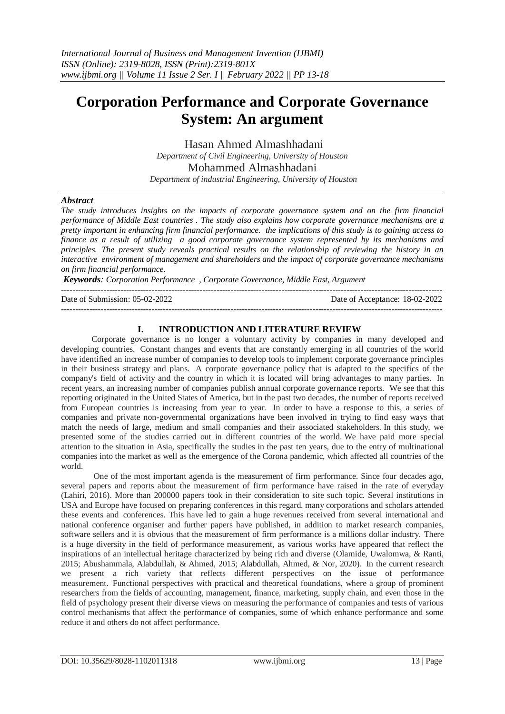# **Corporation Performance and Corporate Governance System: An argument**

Hasan Ahmed Almashhadani *Department of Civil Engineering, University of Houston* Mohammed Almashhadani

*Department of industrial Engineering, University of Houston*

### *Abstract*

*The study introduces insights on the impacts of corporate governance system and on the firm financial performance of Middle East countries . The study also explains how corporate governance mechanisms are a pretty important in enhancing firm financial performance. the implications of this study is to gaining access to finance as a result of utilizing a good corporate governance system represented by its mechanisms and principles. The present study reveals practical results on the relationship of reviewing the history in an interactive environment of management and shareholders and the impact of corporate governance mechanisms on firm financial performance.*

*Keywords: Corporation Performance , Corporate Governance, Middle East, Argument*

---------------------------------------------------------------------------------------------------------------------------------------

---------------------------------------------------------------------------------------------------------------------------------------

Date of Submission: 05-02-2022 Date of Acceptance: 18-02-2022

### **I. INTRODUCTION AND LITERATURE REVIEW**

Corporate governance is no longer a voluntary activity by companies in many developed and developing countries. Constant changes and events that are constantly emerging in all countries of the world have identified an increase number of companies to develop tools to implement corporate governance principles in their business strategy and plans. A corporate governance policy that is adapted to the specifics of the company's field of activity and the country in which it is located will bring advantages to many parties. In recent years, an increasing number of companies publish annual corporate governance reports. We see that this reporting originated in the United States of America, but in the past two decades, the number of reports received from European countries is increasing from year to year. In order to have a response to this, a series of companies and private non-governmental organizations have been involved in trying to find easy ways that match the needs of large, medium and small companies and their associated stakeholders. In this study, we presented some of the studies carried out in different countries of the world. We have paid more special attention to the situation in Asia, specifically the studies in the past ten years, due to the entry of multinational companies into the market as well as the emergence of the Corona pandemic, which affected all countries of the world.

One of the most important agenda is the measurement of firm performance. Since four decades ago, several papers and reports about the measurement of firm performance have raised in the rate of everyday (Lahiri, 2016). More than 200000 papers took in their consideration to site such topic. Several institutions in USA and Europe have focused on preparing conferences in this regard. many corporations and scholars attended these events and conferences. This have led to gain a huge revenues received from several international and national conference organiser and further papers have published, in addition to market research companies, software sellers and it is obvious that the measurement of firm performance is a millions dollar industry. There is a huge diversity in the field of performance measurement, as various works have appeared that reflect the inspirations of an intellectual heritage characterized by being rich and diverse (Olamide, Uwalomwa, & Ranti, 2015; Abushammala, Alabdullah, & Ahmed, 2015; Alabdullah, Ahmed, & Nor, 2020). In the current research we present a rich variety that reflects different perspectives on the issue of performance measurement. Functional perspectives with practical and theoretical foundations, where a group of prominent researchers from the fields of accounting, management, finance, marketing, supply chain, and even those in the field of psychology present their diverse views on measuring the performance of companies and tests of various control mechanisms that affect the performance of companies, some of which enhance performance and some reduce it and others do not affect performance.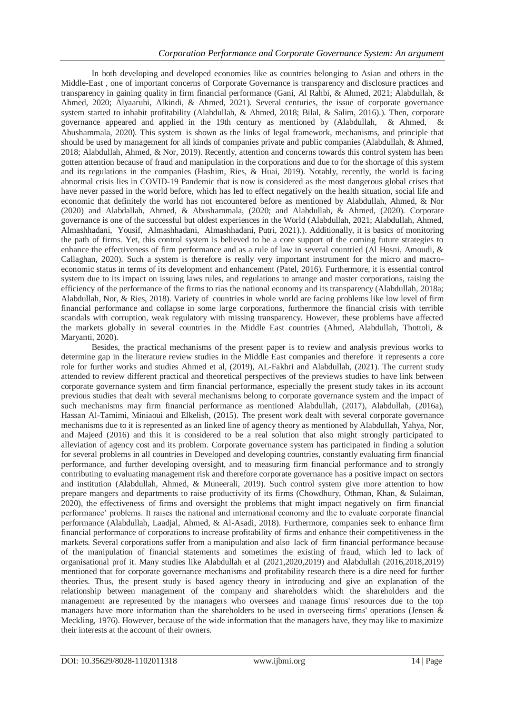In both developing and developed economies like as countries belonging to Asian and others in the Middle-East , one of important concerns of Corporate Governance is transparency and disclosure practices and transparency in gaining quality in firm financial performance (Gani, Al Rahbi, & Ahmed, 2021; Alabdullah, & Ahmed, 2020; Alyaarubi, Alkindi, & Ahmed, 2021). Several centuries, the issue of corporate governance system started to inhabit profitability (Alabdullah, & Ahmed, 2018; Bilal, & Salim, 2016).). Then, corporate governance appeared and applied in the 19th century as mentioned by (Alabdullah, & Ahmed, & Abushammala, 2020). This system is shown as the links of legal framework, mechanisms, and principle that should be used by management for all kinds of companies private and public companies (Alabdullah, & Ahmed, 2018; Alabdullah, Ahmed, & Nor, 2019). Recently, attention and concerns towards this control system has been gotten attention because of fraud and manipulation in the corporations and due to for the shortage of this system and its regulations in the companies (Hashim, Ries, & Huai, 2019). Notably, recently, the world is facing abnormal crisis lies in COVID-19 Pandemic that is now is considered as the most dangerous global crises that have never passed in the world before, which has led to effect negatively on the health situation, social life and economic that definitely the world has not encountered before as mentioned by Alabdullah, Ahmed, & Nor (2020) and Alabdallah, Ahmed, & Abushammala, (2020; and Alabdullah, & Ahmed, (2020). Corporate governance is one of the successful but oldest experiences in the World (Alabdullah, 2021; Alabdullah, Ahmed, Almashhadani, Yousif, Almashhadani, Almashhadani, Putri, 2021).). Additionally, it is basics of monitoring the path of firms. Yet, this control system is believed to be a core support of the coming future strategies to enhance the effectiveness of firm performance and as a rule of law in several countried (Al Hosni, Amoudi, & Callaghan, 2020). Such a system is therefore is really very important instrument for the micro and macroeconomic status in terms of its development and enhancement (Patel, 2016). Furthermore, it is essential control system due to its impact on issuing laws rules, and regulations to arrange and master corporations, raising the efficiency of the performance of the firms to rias the national economy and its transparency (Alabdullah, 2018a; Alabdullah, Nor, & Ries, 2018). Variety of countries in whole world are facing problems like low level of firm financial performance and collapse in some large corporations, furthermore the financial crisis with terrible scandals with corruption, weak regulatory with missing transparency. However, these problems have affected the markets globally in several countries in the Middle East countries (Ahmed, Alabdullah, Thottoli, & Maryanti, 2020).

Besides, the practical mechanisms of the present paper is to review and analysis previous works to determine gap in the literature review studies in the Middle East companies and therefore it represents a core role for further works and studies Ahmed et al, (2019), AL-Fakhri and Alabdullah, (2021). The current study attended to review different practical and theoretical perspectives of the previews studies to have link between corporate governance system and firm financial performance, especially the present study takes in its account previous studies that dealt with several mechanisms belong to corporate governance system and the impact of such mechanisms may firm financial performance as mentioned Alabdullah, (2017), Alabdullah, (2016a), Hassan Al-Tamimi, Miniaoui and Elkelish, (2015). The present work dealt with several corporate governance mechanisms due to it is represented as an linked line of agency theory as mentioned by Alabdullah, Yahya, Nor, and Majeed (2016) and this it is considered to be a real solution that also might strongly participated to alleviation of agency cost and its problem. Corporate governance system has participated in finding a solution for several problems in all countries in Developed and developing countries, constantly evaluating firm financial performance, and further developing oversight, and to measuring firm financial performance and to strongly contributing to evaluating management risk and therefore corporate governance has a positive impact on sectors and institution (Alabdullah, Ahmed, & Muneerali, 2019). Such control system give more attention to how prepare mangers and departments to raise productivity of its firms (Chowdhury, Othman, Khan, & Sulaiman, 2020), the effectiveness of firms and oversight the problems that might impact negatively on firm financial performance' problems. It raises the national and international economy and the to evaluate corporate financial performance (Alabdullah, Laadjal, Ahmed, & Al-Asadi, 2018). Furthermore, companies seek to enhance firm financial performance of corporations to increase profitability of firms and enhance their competitiveness in the markets. Several corporations suffer from a manipulation and also lack of firm financial performance because of the manipulation of financial statements and sometimes the existing of fraud, which led to lack of organisational prof it. Many studies like Alabdullah et al (2021,2020,2019) and Alabdullah (2016,2018,2019) mentioned that for corporate governance mechanisms and profitability research there is a dire need for further theories. Thus, the present study is based agency theory in introducing and give an explanation of the relationship between management of the company and shareholders which the shareholders and the management are represented by the managers who oversees and manage firms' resources due to the top managers have more information than the shareholders to be used in overseeing firms' operations (Jensen  $\&$ Meckling, 1976). However, because of the wide information that the managers have, they may like to maximize their interests at the account of their owners.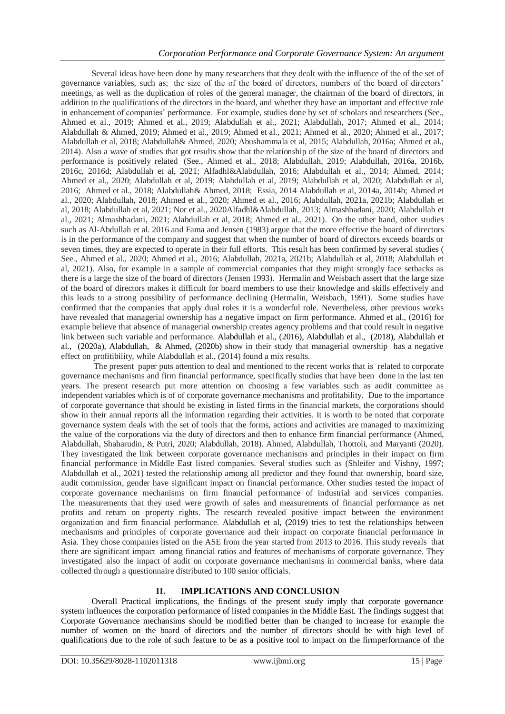Several ideas have been done by many researchers that they dealt with the influence of the of the set of governance variables, such as; the size of the of the board of directors, numbers of the board of directors' meetings, as well as the duplication of roles of the general manager, the chairman of the board of directors, in addition to the qualifications of the directors in the board, and whether they have an important and effective role in enhancement of companies' performance. For example, studies done by set of scholars and researchers (See., Ahmed et al., 2019; Ahmed et al., 2019; Alabdullah et al., 2021; Alabdullah, 2017; Ahmed et al., 2014; Alabdullah & Ahmed, 2019; Ahmed et al., 2019; Ahmed et al., 2021; Ahmed et al., 2020; Ahmed et al., 2017; Alabdullah et al, 2018; Alabdullah& Ahmed, 2020; Abushammala et al, 2015; Alabdullah, 2016a; Ahmed et al., 2014). Also a wave of studies that got results show that the relationship of the size of the board of directors and performance is positively related (See., Ahmed et al., 2018; Alabdullah, 2019; Alabdullah, 2016a, 2016b, 2016c, 2016d; Alabdullah et al, 2021; Alfadhl&Alabdullah, 2016; Alabdullah et al., 2014; Ahmed, 2014; Ahmed et al., 2020; Alabdullah et al, 2019; Alabdullah et al, 2019; Alabdullah et al, 2020; Alabdullah et al, 2016; Ahmed et al., 2018; Alabdullah& Ahmed, 2018; Essia, 2014 Alabdullah et al, 2014a, 2014b; Ahmed et al., 2020; Alabdullah, 2018; Ahmed et al., 2020; Ahmed et al., 2016; Alabdullah, 2021a, 2021b; Alabdullah et al, 2018; Alabdullah et al, 2021; Nor et al., 2020Alfadhl&Alabdullah, 2013; Almashhadani, 2020; Alabdullah et al., 2021; Almashhadani, 2021; Alabdullah et al, 2018; Ahmed et al., 2021). On the other hand, other studies such as Al-Abdullah et al. 2016 and Fama and Jensen (1983) argue that the more effective the board of directors is in the performance of the company and suggest that when the number of board of directors exceeds boards or seven times, they are expected to operate in their full efforts. This result has been confirmed by several studies ( See., Ahmed et al., 2020; Ahmed et al., 2016; Alabdullah, 2021a, 2021b; Alabdullah et al, 2018; Alabdullah et al, 2021). Also, for example in a sample of commercial companies that they might strongly face setbacks as there is a large the size of the board of directors (Jensen 1993). Hermalin and Weisbach assert that the large size of the board of directors makes it difficult for board members to use their knowledge and skills effectively and this leads to a strong possibility of performance declining (Hermalin, Weisbach, 1991). Some studies have confirmed that the companies that apply dual roles it is a wonderful role. Nevertheless, other previous works have revealed that managerial ownership has a negative impact on firm performance. Ahmed et al., (2016) for example believe that absence of managerial ownership creates agency problems and that could result in negative link between such variable and performance. Alabdullah et al., (2016), Alabdullah et al., (2018), Alabdullah et al., (2020a), Alabdullah, & Ahmed, (2020b) show in their study that managerial ownership has a negative effect on profitibility, while Alabdullah et al., (2014) found a mix results.

The present paper puts attention to deal and mentioned to the recent works that is related to corporate governance mechanisms and firm financial performance, specifically studies that have been done in the last ten years. The present research put more attention on choosing a few variables such as audit committee as independent variables which is of of corporate governance mechanisms and profitability. Due to the importance of corporate governance that should be existing in listed firms in the financial markets, the corporations should show in their annual reports all the information regarding their activities. It is worth to be noted that corporate governance system deals with the set of tools that the forms, actions and activities are managed to maximizing the value of the corporations via the duty of directors and then to enhance firm financial performance (Ahmed, Alabdullah, Shaharudin, & Putri, 2020; Alabdullah, 2018). Ahmed, Alabdullah, Thottoli, and Maryanti (2020). They investigated the link between corporate governance mechanisms and principles in their impact on firm financial performance in Middle East listed companies. Several studies such as (Shleifer and Vishny, 1997; Alabdullah et al., 2021) tested the relationship among all predictor and they found that ownership, board size, audit commission, gender have significant impact on financial performance. Other studies tested the impact of corporate governance mechanisms on firm financial performance of industrial and services companies. The measurements that they used were growth of sales and measurements of financial performance as net profits and return on property rights. The research revealed positive impact between the environment organization and firm financial performance. Alabdullah et al, (2019) tries to test the relationships between mechanisms and principles of corporate governance and their impact on corporate financial performance in Asia. They chose companies listed on the ASE from the year started from 2013 to 2016. This study reveals that there are significant impact among financial ratios and features of mechanisms of corporate governance. They investigated also the impact of audit on corporate governance mechanisms in commercial banks, where data collected through a questionnaire distributed to 100 senior officials.

## **II. IMPLICATIONS AND CONCLUSION**

Overall Practical implications, the findings of the present study imply that corporate governance system influences the corporation performance of listed companies in the Middle East. The findings suggest that Corporate Governance mechansims should be modified better than be changed to increase for example the number of women on the board of directors and the number of directors should be with high level of qualifications due to the role of such feature to be as a positive tool to impact on the firmperformance of the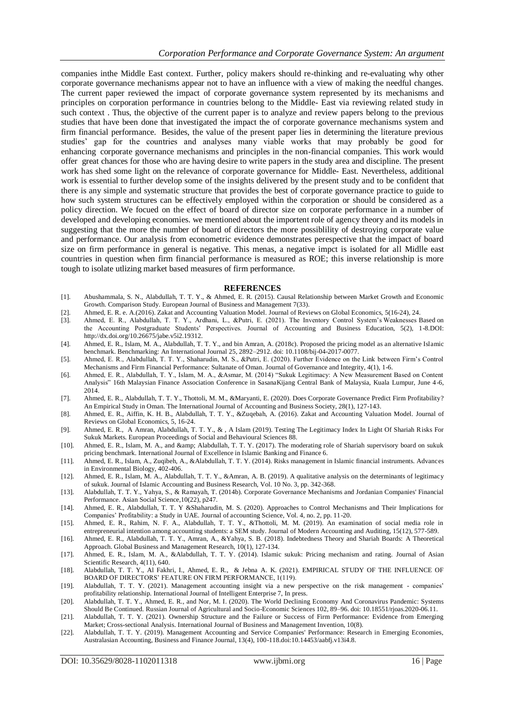companies inthe Middle East context. Further, policy makers should re-thinking and re-evaluating why other corporate governance mechanisms appear not to have an influence with a view of making the needful changes. The current paper reviewed the impact of corporate governance system represented by its mechanisms and principles on corporation performance in countries belong to the Middle- East via reviewing related study in such context . Thus, the objective of the current paper is to analyze and review papers belong to the previous studies that have been done that investigated the impact the of corporate governance mechanisms system and firm financial performance. Besides, the value of the present paper lies in determining the literature previous studies' gap for the countries and analyses many viable works that may probably be good for enhancing corporate governance mechanisms and principles in the non-financial companies. This work would offer great chances for those who are having desire to write papers in the study area and discipline. The present work has shed some light on the relevance of corporate governance for Middle- East. Nevertheless, additional work is essential to further develop some of the insights delivered by the present study and to be confident that there is any simple and systematic structure that provides the best of corporate governance practice to guide to how such system structures can be effectively employed within the corporation or should be considered as a policy direction. We focued on the effect of board of director size on corporate performance in a number of developed and developing economies. we mentioned about the importent role of agency theory and its models in suggesting that the more the number of board of directors the more possiblility of destroying corporate value and performance. Our analysis from econometric evidence demonstrates perespective that the impact of board size on firm performance in general is negative. This menas, a negative impct is isolated for all Midlle east countries in question when firm financial performance is measured as ROE; this inverse relationship is more tough to isolate utlizing market based measures of firm performance.

#### **REFERENCES**

- [1]. Abushammala, S. N., Alabdullah, T. T. Y., & Ahmed, E. R. (2015). Causal Relationship between Market Growth and Economic Growth. Comparison Study. European Journal of Business and Management 7(33).
- [2]. Ahmed, E. R. e. A.(2016). Zakat and Accounting Valuation Model. Journal of Reviews on Global Economics, 5(16-24), 24.
- [3]. Ahmed, E. R., Alabdullah, T. T. Y., Ardhani, L., &Putri, E. (2021). The Inventory Control System's Weaknesses Based on the Accounting Postgraduate Students' Perspectives. Journal of Accounting and Business Education, 5(2), 1-8.DOI: http://dx.doi.org/10.26675/jabe.v5i2.19312.
- [4]. Ahmed, E. R., Islam, M. A., Alabdullah, T. T. Y., and bin Amran, A. (2018c). Proposed the pricing model as an alternative Islamic benchmark. Benchmarking: An International Journal 25, 2892–2912. doi: 10.1108/bij-04-2017-0077.
- [5]. Ahmed, E. R., Alabdullah, T. T. Y., Shaharudin, M. S., &Putri, E. (2020). Further Evidence on the Link between Firm's Control Mechanisms and Firm Financial Performance: Sultanate of Oman. Journal of Governance and Integrity, 4(1), 1-6.
- [6]. Ahmed, E. R., Alabdullah, T. Y., Islam, M. A., &Asmar, M. (2014) "Sukuk Legitimacy: A New Measurement Based on Content Analysis" 16th Malaysian Finance Association Conference in SasanaKijang Central Bank of Malaysia, Kuala Lumpur, June 4-6, 2014.
- [7]. Ahmed, E. R., Alabdullah, T. T. Y., Thottoli, M. M., &Maryanti, E. (2020). Does Corporate Governance Predict Firm Profitability? An Empirical Study in Oman. The International Journal of Accounting and Business Society, 28(1), 127-143.
- [8]. Ahmed, E. R., Aiffin, K. H. B., Alabdullah, T. T. Y., &Zuqebah, A. (2016). Zakat and Accounting Valuation Model. Journal of Reviews on Global Economics, 5, 16-24.
- [9]. Ahmed, E. R., A Amran, Alabdullah, T. T. Y., & , A Islam (2019). Testing The Legitimacy Index In Light Of Shariah Risks For Sukuk Markets. European Proceedings of Social and Behavioural Sciences 88.
- [10]. Ahmed, E. R., Islam, M. A., and & amp; Alabdullah, T. T. Y. (2017). The moderating role of Shariah supervisory board on sukuk pricing benchmark. International Journal of Excellence in Islamic Banking and Finance 6.
- [11]. Ahmed, E. R., Islam, A., Zuqibeh, A., &Alabdullah, T. T. Y. (2014). Risks management in Islamic financial instruments. Advances in Environmental Biology, 402-406.
- [12]. Ahmed, E. R., Islam, M. A., Alabdullah, T. T. Y., &Amran, A. B. (2019). A qualitative analysis on the determinants of legitimacy of sukuk. Journal of Islamic Accounting and Business Research, Vol. 10 No. 3, pp. 342-368.
- [13]. Alabdullah, T. T. Y., Yahya, S., & Ramayah, T. (2014b). Corporate Governance Mechanisms and Jordanian Companies' Financial Performance. Asian Social Science,10(22), p247.
- [14]. Ahmed, E. R., Alabdullah, T. T. Y &Shaharudin, M. S. (2020). Approaches to Control Mechanisms and Their Implications for Companies' Profitability: a Study in UAE. Journal of accounting Science, Vol. 4, no. 2, pp. 11-20.
- [15]. Ahmed, E. R., Rahim, N. F. A., Alabdullah, T. T. Y., &Thottoli, M. M. (2019). An examination of social media role in entrepreneurial intention among accounting students: a SEM study. Journal of Modern Accounting and Auditing, 15(12), 577-589.
- [16]. Ahmed, E. R., Alabdullah, T. T. Y., Amran, A., &Yahya, S. B. (2018). Indebtedness Theory and Shariah Boards: A Theoretical Approach. Global Business and Management Research, 10(1), 127-134.
- [17]. Ahmed, E. R., Islam, M. A., &Alabdullah, T. T. Y. (2014). Islamic sukuk: Pricing mechanism and rating. Journal of Asian Scientific Research, 4(11), 640.
- [18]. Alabdullah, T. T. Y., Al Fakhri, I., Ahmed, E. R., & Jebna A. K. (2021). EMPIRICAL STUDY OF THE INFLUENCE OF BOARD OF DIRECTORS' FEATURE ON FIRM PERFORMANCE, 1(119).
- [19]. Alabdullah, T. T. Y. (2021). Management accounting insight via a new perspective on the risk management companies' profitability relationship. International Journal of Intelligent Enterprise 7, In press.
- [20]. Alabdullah, T. T. Y., Ahmed, E. R., and Nor, M. I. (2020). The World Declining Economy And Coronavirus Pandemic: Systems Should Be Continued. Russian Journal of Agricultural and Socio-Economic Sciences 102, 89–96. doi: 10.18551/rjoas.2020-06.11.
- [21]. Alabdullah, T. T. Y. (2021). Ownership Structure and the Failure or Success of Firm Performance: Evidence from Emerging Market; Cross-sectional Analysis. International Journal of Business and Management Invention, 10(8).
- [22]. Alabdullah, T. T. Y. (2019). Management Accounting and Service Companies' Performance: Research in Emerging Economies, Australasian Accounting, Business and Finance Journal, 13(4), 100-118.doi:10.14453/aabfj.v13i4.8.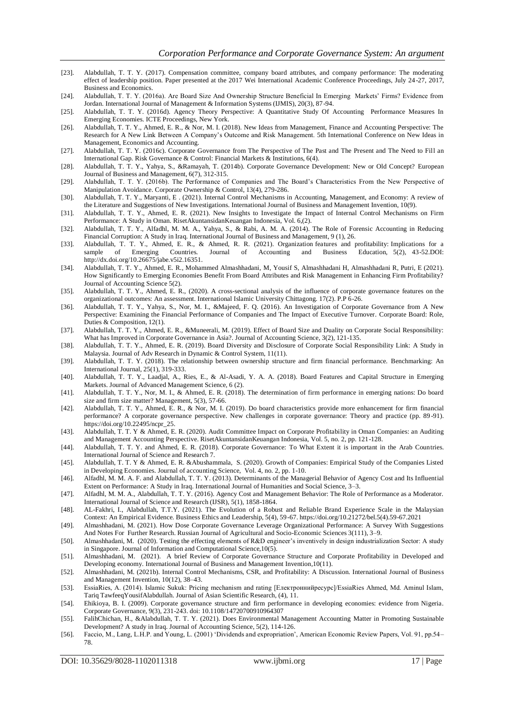- [23]. Alabdullah, T. T. Y. (2017). Compensation committee, company board attributes, and company performance: The moderating effect of leadership position. Paper presented at the 2017 Wei International Academic Conference Proceedings, July 24 -27, 2017, Business and Economics.
- [24]. Alabdullah, T. T. Y. (2016a). Are Board Size And Ownership Structure Beneficial In Emerging Markets' Firms? Evidence from Jordan. International Journal of Management & Information Systems (IJMIS), 20(3), 87-94.
- [25]. Alabdullah, T. T. Y. (2016d). Agency Theory Perspective: A Quantitative Study Of Accounting Performance Measures In Emerging Economies. ICTE Proceedings, New York.
- [26]. Alabdullah, T. T. Y., Ahmed, E. R., & Nor, M. I. (2018). New Ideas from Management, Finance and Accounting Perspective: The Research for A New Link Between A Company's Outcome and Risk Management. 5th International Conference on New Ideas in Management, Economics and Accounting.
- [27]. Alabdullah, T. T. Y. (2016c). Corporate Governance from The Perspective of The Past and The Present and The Need to Fill an International Gap. Risk Governance & Control: Financial Markets & Institutions, 6(4).
- [28]. Alabdullah, T. T. Y., Yahya, S., &Ramayah, T. (2014b). Corporate Governance Development: New or Old Concept? European Journal of Business and Management, 6(7), 312-315.
- [29]. Alabdullah, T. T. Y. (2016b). The Performance of Companies and The Board's Characteristics From the New Perspective of Manipulation Avoidance. Corporate Ownership & Control, 13(4), 279-286.
- [30]. Alabdullah, T. T. Y., Maryanti, E . (2021). Internal Control Mechanisms in Accounting, Management, and Economy: A review of the Literature and Suggestions of New Investigations. International Journal of Business and Management Invention, 10(9).
- [31]. Alabdullah, T. T. Y., Ahmed, E. R. (2021). New Insights to Investigate the Impact of Internal Control Mechanisms on Firm Performance: A Study in Oman. RisetAkuntansidanKeuangan Indonesia, Vol. 6,(2).
- [32]. Alabdullah, T. T. Y., Alfadhl, M. M. A., Yahya, S., & Rabi, A. M. A. (2014). The Role of Forensic Accounting in Reducing Financial Corruption: A Study in Iraq. International Journal of Business and Management, 9 (1), 26.
- [33]. Alabdullah, T. T. Y., Ahmed, E. R., & Ahmed, R. R. (2021). Organization features and profitability: Implications for a sample of Emerging Countries. Journal of Accounting and Business Education, 5(2), 43-52.DOI: http://dx.doi.org/10.26675/jabe.v5i2.16351.
- [34]. Alabdullah, T. T. Y., Ahmed, E. R., Mohammed Almashhadani, M, Yousif S, Almashhadani H, Almashhadani R, Putri, E (2021). How Significantly to Emerging Economies Benefit From Board Attributes and Risk Management in Enhancing Firm Profitability? Journal of Accounting Science 5(2).
- [35]. Alabdullah, T. T. Y., Ahmed, E. R., (2020). A cross-sectional analysis of the influence of corporate governance features on the organizational outcomes: An assessment. International Islamic University Chittagong. 17(2). P.P 6-26.
- [36]. Alabdullah, T. T. Y., Yahya, S., Nor, M. I., &Majeed, F. Q. (2016). An Investigation of Corporate Governance from A New Perspective: Examining the Financial Performance of Companies and The Impact of Executive Turnover. Corporate Board: Role, Duties & Composition, 12(1).
- [37]. Alabdullah, T. T. Y., Ahmed, E. R., &Muneerali, M. (2019). Effect of Board Size and Duality on Corporate Social Responsibility: What has Improved in Corporate Governance in Asia?. Journal of Accounting Science, 3(2), 121-135.
- [38]. Alabdullah, T. T. Y., Ahmed, E. R. (2019). Board Diversity and Disclosure of Corporate Social Responsibility Link: A Study in Malaysia. Journal of Adv Research in Dynamic & Control System, 11(11).
- [39]. Alabdullah, T. T. Y. (2018). The relationship between ownership structure and firm financial performance. Benchmarking: An International Journal, 25(1), 319-333.
- [40]. Alabdullah, T. T. Y., Laadjal, A., Ries, E., & Al-Asadi, Y. A. A. (2018). Board Features and Capital Structure in Emerging Markets. Journal of Advanced Management Science, 6 (2).
- [41]. Alabdullah, T. T. Y., Nor, M. I., & Ahmed, E. R. (2018). The determination of firm performance in emerging nations: Do board size and firm size matter? Management, 5(3), 57-66.
- [42]. Alabdullah, T. T. Y., Ahmed, E. R., & Nor, M. I. (2019). Do board characteristics provide more enhancement for firm financial performance? A corporate governance perspective. New challenges in corporate governance: Theory and practice (pp. 89 -91). https://doi.org/10.22495/ncpr\_25.
- [43]. Alabdullah, T. T. Y & Ahmed, E. R. (2020). Audit Committee Impact on Corporate Profitability in Oman Companies: an Auditing and Management Accounting Perspective. RisetAkuntansidanKeuangan Indonesia, Vol. 5, no. 2, pp. 121-128.
- [44]. Alabdullah, T. T. Y. and Ahmed, E. R. (2018). Corporate Governance: To What Extent it is important in the Arab Countries. International Journal of Science and Research 7.
- [45]. Alabdullah, T. T. Y & Ahmed, E. R. &Abushammala, S. (2020). Growth of Companies: Empirical Study of the Companies Listed in Developing Economies. Journal of accounting Science, Vol. 4, no. 2, pp. 1-10.
- [46]. Alfadhl, M. M. A. F. and Alabdullah, T. T. Y. (2013). Determinants of the Managerial Behavior of Agency Cost and Its Influential Extent on Performance: A Study in Iraq. International Journal of Humanities and Social Science, 3–3.
- [47]. Alfadhl, M. M. A., Alabdullah, T. T. Y. (2016). Agency Cost and Management Behavior: The Role of Performance as a Moderator. International Journal of Science and Research (IJSR), 5(1), 1858-1864.
- [48]. AL-Fakhri, I., Alabdullah, T.T.Y. (2021). The Evolution of a Robust and Reliable Brand Experience Scale in the Malaysian Context: An Empirical Evidence. Business Ethics and Leadership, 5(4), 59-67. [https://doi.org/10.21272/bel.5\(4\).59-67.2021](https://doi.org/10.21272/bel.5(4).59-67.2021)
- [49]. Almashhadani, M. (2021). How Dose Corporate Governance Leverage Organizational Performance: A Survey With Suggestions And Notes For Further Research. Russian Journal of Agricultural and Socio-Economic Sciences 3(111), 3–9.
- [50]. Almashhadani, M. (2020). Testing the effecting elements of R&D engineer's inventively in design industrialization Sector: A study in Singapore. Journal of Information and Computational Science,10(5).
- [51]. Almashhadani, M. (2021). A brief Review of Corporate Governance Structure and Corporate Profitability in Developed and Developing economy. International Journal of Business and Management Invention,10(11).
- [52]. Almashhadani, M. (2021b). Internal Control Mechanisms, CSR, and Profitability: A Discussion. International Journal of Business and Management Invention, 10(12), 38–43.
- [53]. EssiaRies, A. (2014). Islamic Sukuk: Pricing mechanism and rating [Електроннийресурс]/EssiaRies Ahmed, Md. Aminul Islam, Tariq TawfeeqYousifAlabdullah. Journal of Asian Scientific Research, (4), 11.
- [54]. Ehikioya, B. I. (2009). Corporate governance structure and firm performance in developing economies: evidence from Nigeria. Corporate Governance, 9(3), 231-243. doi: 10.1108/14720700910964307
- [55]. FalihChichan, H., &Alabdullah, T. T. Y. (2021). Does Environmental Management Accounting Matter in Promoting Sustainable Development? A study in Iraq. Journal of Accounting Science, 5(2), 114-126.
- [56]. Faccio, M., Lang, L.H.P. and Young, L. (2001) 'Dividends and expropriation', American Economic Review Papers, Vol. 91, pp.54– 78.